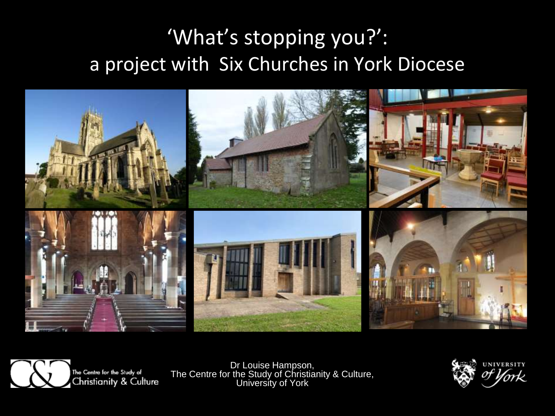#### 'What's stopping you?': a project with Six Churches in York Diocese





Dr Louise Hampson, The Centre for the Study of Christianity & Culture, University of York

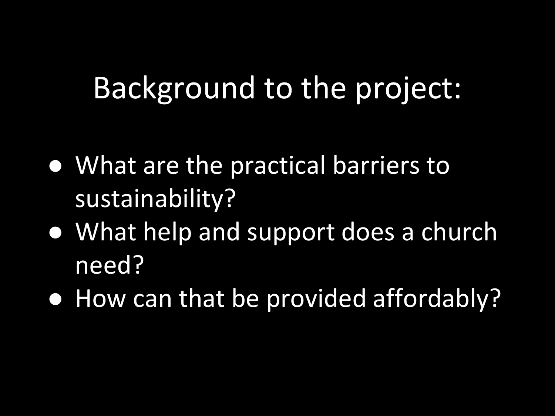## Background to the project:

- What are the practical barriers to sustainability?
- What help and support does a church need?
- How can that be provided affordably?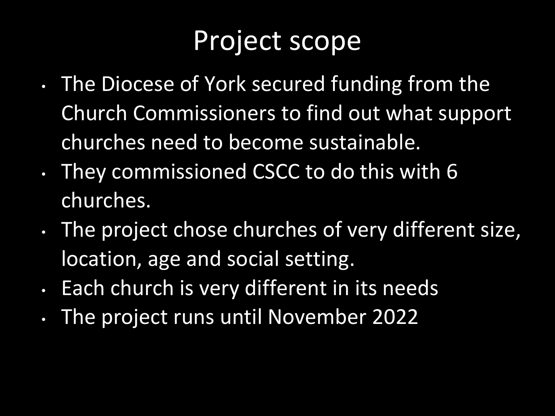### Project scope

- The Diocese of York secured funding from the Church Commissioners to find out what support churches need to become sustainable.
- They commissioned CSCC to do this with 6 churches.
- The project chose churches of very different size, location, age and social setting.
- Each church is very different in its needs
- The project runs until November 2022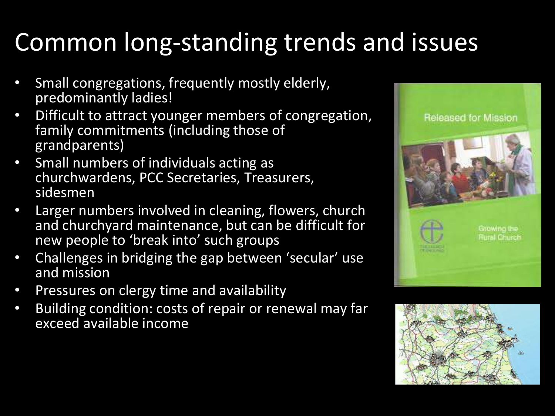### Common long-standing trends and issues

- Small congregations, frequently mostly elderly, predominantly ladies!
- Difficult to attract younger members of congregation, family commitments (including those of grandparents)
- Small numbers of individuals acting as churchwardens, PCC Secretaries, Treasurers, sidesmen
- Larger numbers involved in cleaning, flowers, church and churchyard maintenance, but can be difficult for new people to 'break into' such groups
- Challenges in bridging the gap between 'secular' use and mission
- Pressures on clergy time and availability
- Building condition: costs of repair or renewal may far exceed available income



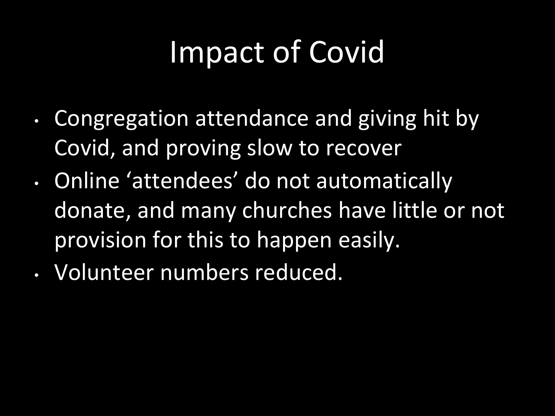## Impact of Covid

- Congregation attendance and giving hit by Covid, and proving slow to recover
- Online 'attendees' do not automatically donate, and many churches have little or not provision for this to happen easily.
- Volunteer numbers reduced.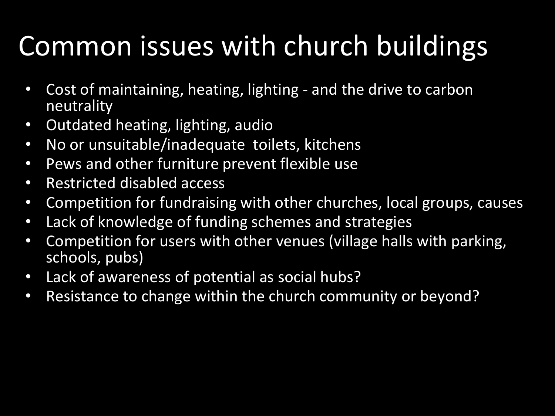## Common issues with church buildings

- Cost of maintaining, heating, lighting and the drive to carbon neutrality
- Outdated heating, lighting, audio
- No or unsuitable/inadequate toilets, kitchens
- Pews and other furniture prevent flexible use
- Restricted disabled access
- Competition for fundraising with other churches, local groups, causes
- Lack of knowledge of funding schemes and strategies
- Competition for users with other venues (village halls with parking, schools, pubs)
- Lack of awareness of potential as social hubs?
- Resistance to change within the church community or beyond?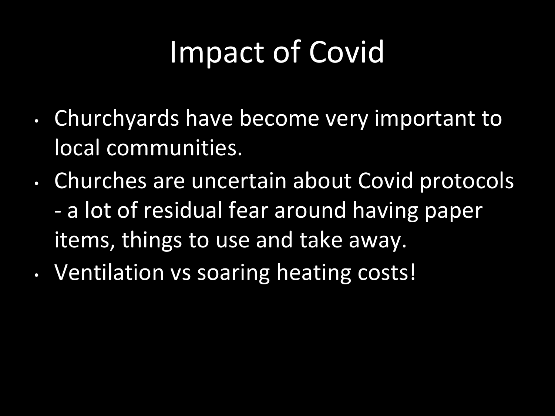## Impact of Covid

- Churchyards have become very important to local communities.
- Churches are uncertain about Covid protocols - a lot of residual fear around having paper items, things to use and take away.
- Ventilation vs soaring heating costs!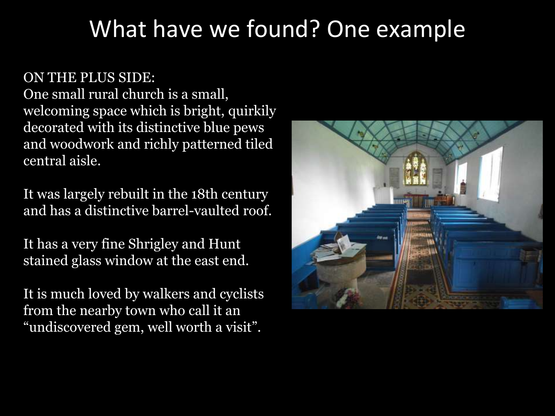#### What have we found? One example

ON THE PLUS SIDE: One small rural church is a small, welcoming space which is bright, quirkily decorated with its distinctive blue pews and woodwork and richly patterned tiled central aisle.

It was largely rebuilt in the 18th century and has a distinctive barrel-vaulted roof.

It has a very fine Shrigley and Hunt stained glass window at the east end.

It is much loved by walkers and cyclists from the nearby town who call it an "undiscovered gem, well worth a visit".

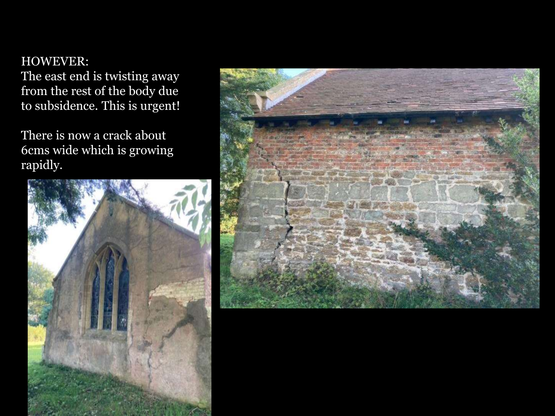#### HOWEVER:

The east end is twisting away from the rest of the body due to subsidence. This is urgent!

There is now a crack about 6cms wide which is growing rapidly.



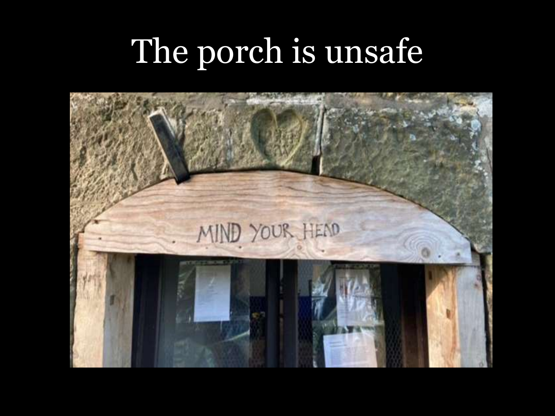# The porch is unsafe

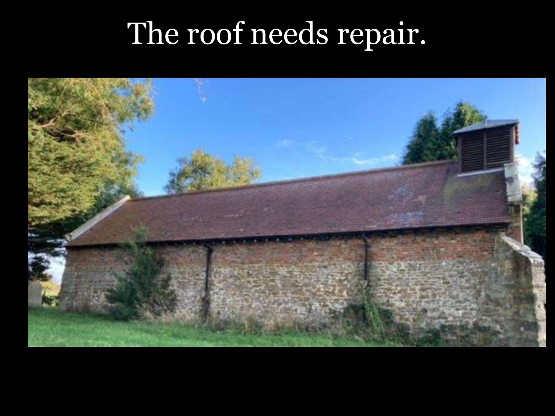## The roof needs repair.

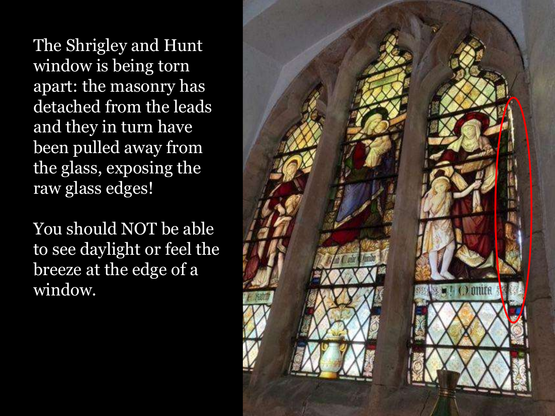The Shrigley and Hunt window is being torn apart: the masonry has detached from the leads and they in turn have been pulled away from the glass, exposing the raw glass edges!

You should NOT be able to see daylight or feel the breeze at the edge of a window.

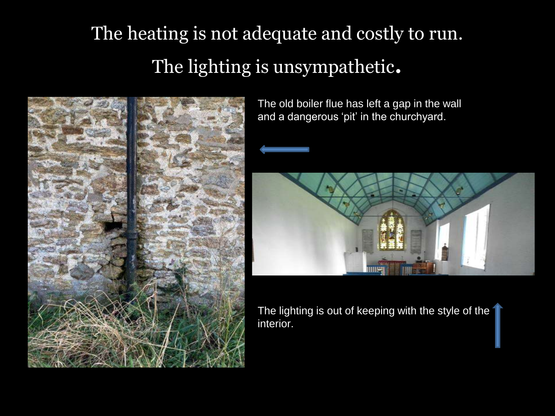#### The heating is not adequate and costly to run. The lighting is unsympathetic.



The old boiler flue has left a gap in the wall and a dangerous 'pit' in the churchyard.



The lighting is out of keeping with the style of the interior.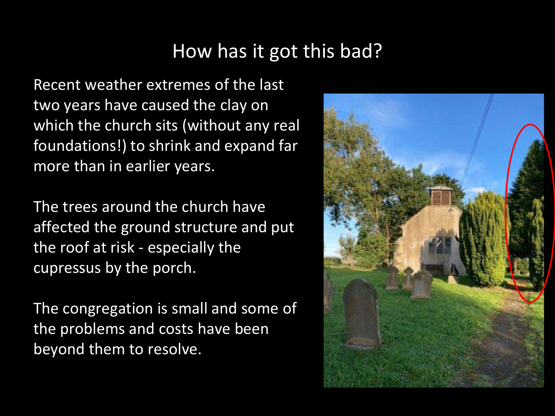#### How has it got this bad?

Recent weather extremes of the last two years have caused the clay on which the church sits (without any real foundations!) to shrink and expand far more than in earlier years.

The trees around the church have affected the ground structure and put the roof at risk - especially the cupressus by the porch.

The congregation is small and some of the problems and costs have been beyond them to resolve.

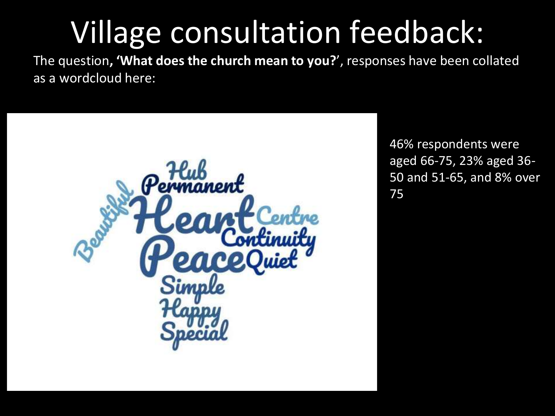## Village consultation feedback:

The question**, 'What does the church mean to you?**', responses have been collated as a wordcloud here:



46% respondents were aged 66-75, 23% aged 36- 50 and 51-65, and 8% over 75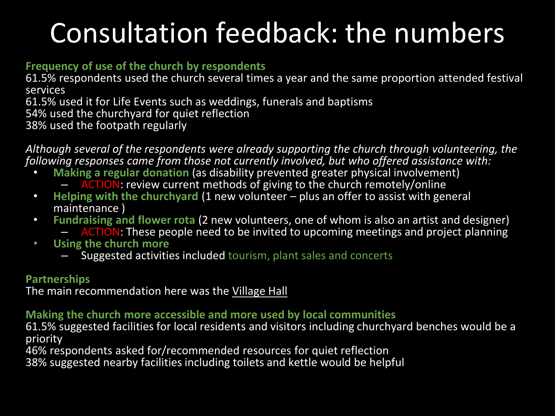### Consultation feedback: the numbers

#### **Frequency of use of the church by respondents**

61.5% respondents used the church several times a year and the same proportion attended festival services

61.5% used it for Life Events such as weddings, funerals and baptisms

54% used the churchyard for quiet reflection

38% used the footpath regularly

*Although several of the respondents were already supporting the church through volunteering, the following responses came from those not currently involved, but who offered assistance with:*

- **Making a regular donation** (as disability prevented greater physical involvement)
	- ACTION: review current methods of giving to the church remotely/online
- **Helping with the churchyard** (1 new volunteer plus an offer to assist with general maintenance )
- **Fundraising and flower rota** (2 new volunteers, one of whom is also an artist and designer)
	- ACTION: These people need to be invited to upcoming meetings and project planning
- **Using the church more**
	- Suggested activities included tourism, plant sales and concerts

#### **Partnerships**

The main recommendation here was the Village Hall

#### **Making the church more accessible and more used by local communities**

61.5% suggested facilities for local residents and visitors including churchyard benches would be a priority

46% respondents asked for/recommended resources for quiet reflection

38% suggested nearby facilities including toilets and kettle would be helpful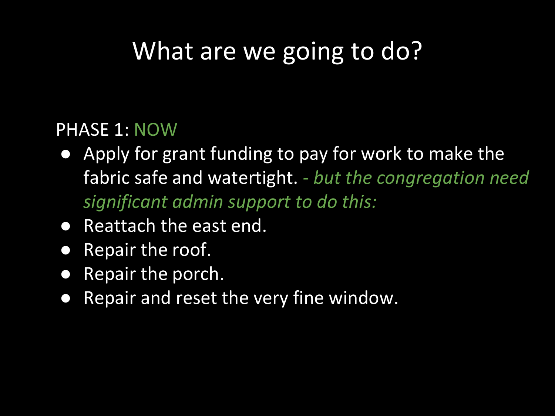### What are we going to do?

#### PHASE 1: NOW

- Apply for grant funding to pay for work to make the fabric safe and watertight. *- but the congregation need significant admin support to do this:*
- Reattach the east end.
- Repair the roof.
- Repair the porch.
- Repair and reset the very fine window.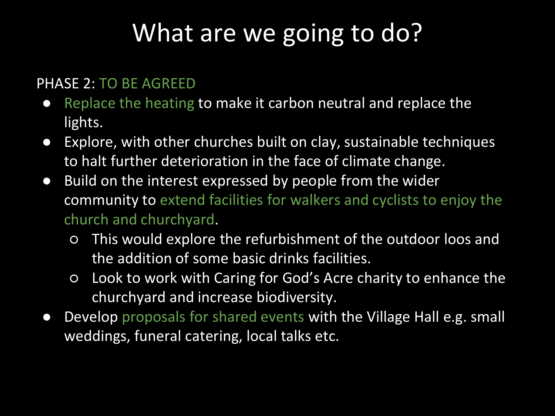### What are we going to do?

#### PHASE 2: TO BE AGREED

- Replace the heating to make it carbon neutral and replace the lights.
- Explore, with other churches built on clay, sustainable techniques to halt further deterioration in the face of climate change.
- Build on the interest expressed by people from the wider community to extend facilities for walkers and cyclists to enjoy the church and churchyard.
	- This would explore the refurbishment of the outdoor loos and the addition of some basic drinks facilities.
	- Look to work with Caring for God's Acre charity to enhance the churchyard and increase biodiversity.
- Develop proposals for shared events with the Village Hall e.g. small weddings, funeral catering, local talks etc.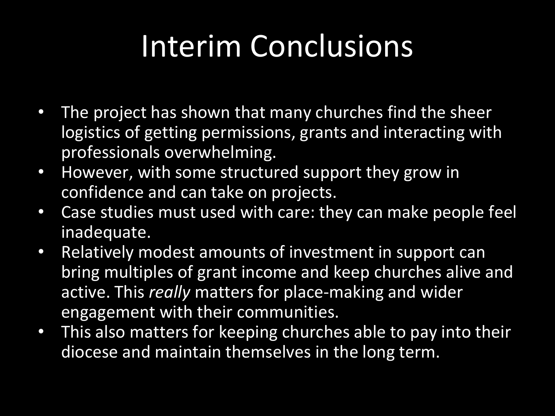## Interim Conclusions

- The project has shown that many churches find the sheer logistics of getting permissions, grants and interacting with professionals overwhelming.
- However, with some structured support they grow in confidence and can take on projects.
- Case studies must used with care: they can make people feel inadequate.
- Relatively modest amounts of investment in support can bring multiples of grant income and keep churches alive and active. This *really* matters for place-making and wider engagement with their communities.
- This also matters for keeping churches able to pay into their diocese and maintain themselves in the long term.